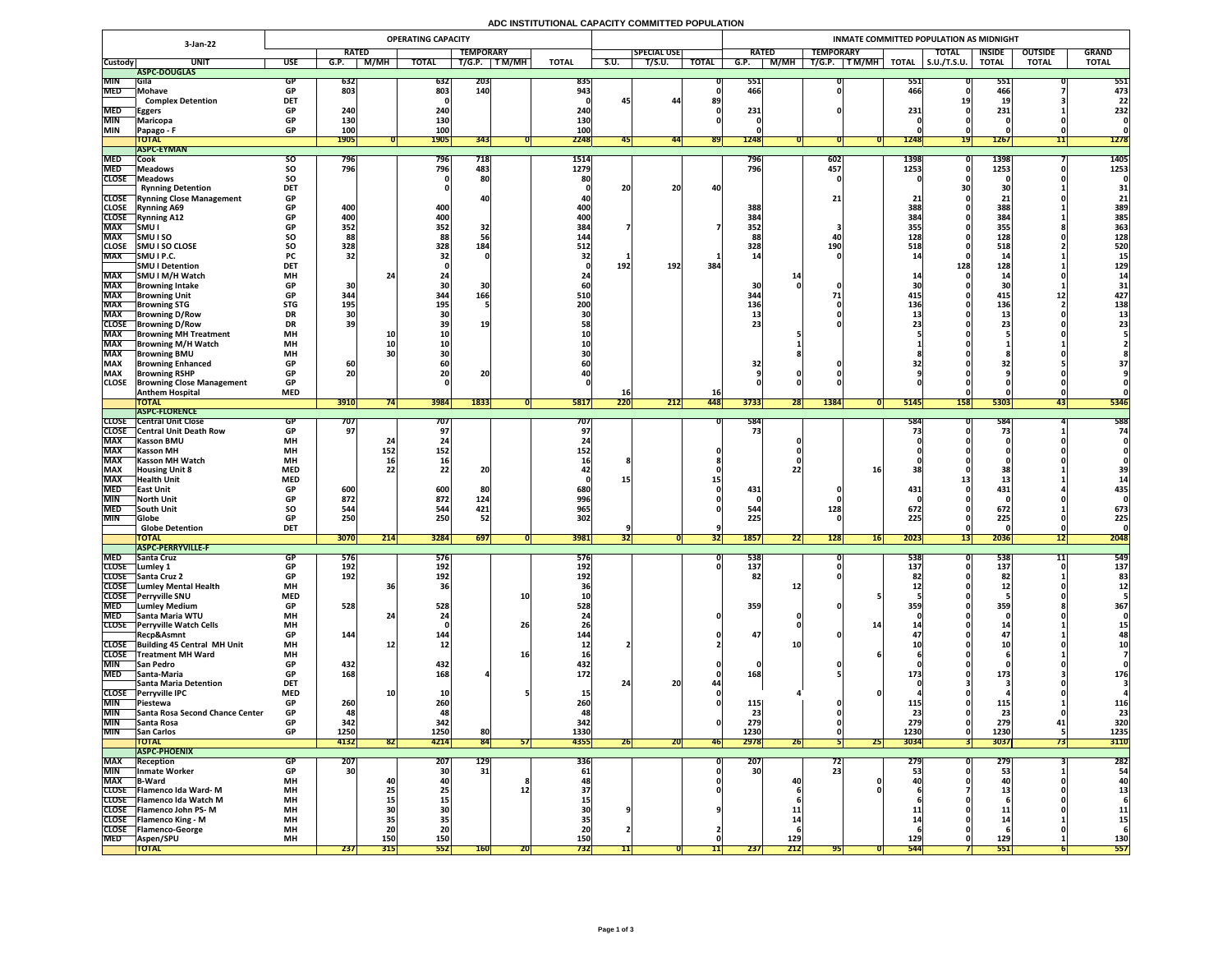## **ADC INSTITUTIONAL CAPACITY COMMITTED POPULATION**

|                              |                                                               | <b>OPERATING CAPACITY</b><br>3-Jan-22 |                                     |              |                 |                  |              |                   |      |                     |              | INMATE COMMITTED POPULATION AS MIDNIGHT |                          |                |                     |                      |                |              |  |  |  |  |
|------------------------------|---------------------------------------------------------------|---------------------------------------|-------------------------------------|--------------|-----------------|------------------|--------------|-------------------|------|---------------------|--------------|-----------------------------------------|--------------------------|----------------|---------------------|----------------------|----------------|--------------|--|--|--|--|
|                              |                                                               |                                       | <b>RATED</b>                        |              |                 | <b>TEMPORARY</b> |              |                   |      | <b>SPECIAL USE</b>  |              | <b>RATED</b>                            | <b>TEMPORARY</b>         |                | <b>TOTAL</b>        | <b>INSIDE</b>        | <b>OUTSIDE</b> | <b>GRAND</b> |  |  |  |  |
| <b>Custody</b>               | <b>UNI</b>                                                    | <b>USE</b>                            | G.P.                                | M/MH         | <b>TOTAL</b>    | T/G.P.           | <b>TM/MH</b> | <b>TOTAL</b>      | S.U. | $\overline{T/S.U.}$ | <b>TOTAL</b> | <b>M/MH</b><br>G.P.                     | T/G.P.<br>T M/MH         | <b>TOTAL</b>   | $\vert$ S.U./T.S.U. | <b>TOTAL</b>         | <b>TOTAL</b>   | <b>TOTAL</b> |  |  |  |  |
|                              | ASPC-DOUGLAS                                                  |                                       |                                     |              |                 |                  |              |                   |      |                     |              |                                         |                          |                |                     |                      |                |              |  |  |  |  |
| <b>MIN</b>                   | Gila                                                          |                                       | 632                                 |              | 632             | <b>203</b>       |              | 835               |      |                     |              | 551                                     |                          | 551            |                     | <b>PPT</b>           |                | 551          |  |  |  |  |
| <b>MED</b>                   | Mohave<br><b>Complex Detention</b>                            | <b>DET</b>                            | 803                                 |              | 803             | 140              |              | 943               |      | 44                  | 89           | 466                                     |                          | 466            |                     | 466                  |                | 473<br>22    |  |  |  |  |
| <b>MED</b>                   |                                                               |                                       | 240                                 |              | 240             |                  |              | 240               |      |                     |              | 231                                     |                          | 231            |                     | <u>. ды с</u><br>231 |                | 232          |  |  |  |  |
| <b>MIN</b>                   | <b>Eggers</b><br><b>Maricopa</b>                              |                                       | 130                                 |              | <b>130</b>      |                  |              | 130               |      |                     |              |                                         |                          |                |                     |                      |                |              |  |  |  |  |
| <b>MIN</b>                   | Papago - F                                                    | <b>GP</b>                             | 100                                 |              | 100             |                  |              | 100               |      |                     |              |                                         |                          |                |                     |                      |                |              |  |  |  |  |
|                              | <b>TOTAL</b>                                                  |                                       | <b>1905</b>                         |              | <b>1905</b>     | 343              |              | 2248              | 45   | 44                  | <b>891</b>   | 1248                                    |                          | 1248           | 191                 | <b>1267</b>          |                | 1278         |  |  |  |  |
|                              | <b>ASPC-EYMAN</b>                                             |                                       |                                     |              |                 |                  |              |                   |      |                     |              |                                         |                          |                |                     |                      |                |              |  |  |  |  |
| <b>MED</b>                   | <b>Cook</b>                                                   | SO.                                   | 796                                 |              | 796             | 718              |              | 1514              |      |                     |              | 796                                     | 602                      | 1398           |                     | <b>1398</b>          |                | 1405         |  |  |  |  |
| <b>MED</b>                   | <b>Meadows</b>                                                | <b>SO</b>                             | 796                                 |              | 796             | 483              |              | 1279              |      |                     |              | 796                                     | 457                      | 1253           |                     | 1253                 |                | 1253         |  |  |  |  |
| <b>CLOSE</b>                 | Meadows                                                       | <b>SO</b>                             |                                     |              |                 | 80               |              |                   |      |                     |              |                                         |                          |                |                     |                      |                |              |  |  |  |  |
|                              | <b>Rynning Detention</b>                                      | <b>DET</b>                            |                                     |              |                 |                  |              |                   | 20   | 20                  | 40           |                                         |                          |                |                     | DI.                  |                | 31           |  |  |  |  |
|                              | <b>CLOSE</b> Rynning Close Management                         | <b>GP</b><br>$\bullet$                |                                     |              |                 |                  |              |                   |      |                     |              |                                         | <u>_ _</u>               |                |                     | 21                   |                | 21           |  |  |  |  |
| <b>CLOSE</b><br><b>CLOSE</b> | <b>Rynning A69</b><br><b>Rynning A12</b>                      | <b>GP</b>                             | 400<br>400                          |              | 400<br>400      |                  |              | <b>400</b><br>400 |      |                     |              | 388<br>384                              |                          | 388<br>384     |                     | 388<br>384           |                | 389<br>385   |  |  |  |  |
| <b>MAX</b>                   | <b>SMUI</b>                                                   | <b>GP</b>                             | 352                                 |              | 352             | 32               |              | 384               |      |                     |              | 352                                     |                          | 355            |                     | 355                  |                | 363          |  |  |  |  |
| <b>MAX</b>                   | <b>SMUISO</b>                                                 | <b>SO</b>                             | 88                                  |              | 88              |                  |              | 144               |      |                     |              |                                         |                          | 128            |                     | 128                  |                | 128          |  |  |  |  |
| <b>CLOSE</b>                 | <b>SMUISO CLOSE</b>                                           | SO                                    | 328                                 |              | 328             | 184              |              | 512               |      |                     |              | 328                                     | <b>190</b>               | 518            |                     | 518                  |                | 520          |  |  |  |  |
| <b>MAX</b>                   | SMU I P.C.                                                    | <b>PC</b>                             | 32                                  |              | 32              |                  |              |                   |      |                     |              |                                         |                          |                |                     |                      |                |              |  |  |  |  |
|                              | <b>SMU I Detention</b>                                        | <b>DET</b>                            |                                     |              |                 |                  |              |                   | 192  | <b>192</b>          | 384          |                                         |                          |                | 128                 | 128                  |                | 129          |  |  |  |  |
| <b>MAX</b>                   | SMU I M/H Watch                                               | <b>MH</b>                             |                                     |              |                 |                  |              |                   |      |                     |              |                                         |                          |                |                     |                      |                |              |  |  |  |  |
| <b>MAX</b>                   | <b>Browning Intake</b>                                        | <b>GP</b>                             | OC.<br>3U                           |              |                 |                  |              |                   |      |                     |              | 30                                      |                          |                |                     |                      |                |              |  |  |  |  |
| <b>MAX</b>                   | <b>Browning Unit</b>                                          | <b>GP</b>                             | 344                                 |              | 344             | 166              |              | 510               |      |                     |              | 344                                     |                          | 415            |                     | 415                  |                | 427          |  |  |  |  |
| <b>MAX</b>                   | <b>Browning STG</b>                                           | <b>STG</b>                            | 195                                 |              | 195             |                  |              | 200               |      |                     |              | 136                                     |                          | 136            |                     | 136                  |                | 138          |  |  |  |  |
| <b>MAX</b><br><b>CLOSE</b>   | <b>Browning D/Row</b>                                         | <b>DR</b>                             | 39                                  |              |                 | <b>19</b>        |              |                   |      |                     |              |                                         |                          |                |                     |                      |                |              |  |  |  |  |
| <b>MAX</b>                   | <b>Browning D/Row</b><br><b>Browning MH Treatment</b>         | <b>DR</b><br><b>MH</b>                |                                     |              |                 |                  |              |                   |      |                     |              |                                         |                          |                |                     |                      |                |              |  |  |  |  |
| <b>MAX</b>                   | <b>Browning M/H Watch</b>                                     | <b>MH</b>                             |                                     |              |                 |                  |              |                   |      |                     |              |                                         |                          |                |                     |                      |                |              |  |  |  |  |
| <b>MAX</b>                   | <b>Browning BMU</b>                                           | <b>MH</b>                             |                                     |              |                 |                  |              |                   |      |                     |              |                                         |                          |                |                     |                      |                |              |  |  |  |  |
| <b>MAX</b>                   | <b>Browning Enhanced</b>                                      | <b>GP</b>                             | 60 <sub>1</sub>                     |              | <b>60</b>       |                  |              |                   |      |                     |              |                                         |                          |                |                     |                      |                |              |  |  |  |  |
| <b>MAX</b>                   | <b>Browning RSHP</b>                                          | <b>GP</b>                             | 20                                  |              | 20 <sub>1</sub> | ZU               |              |                   |      |                     |              |                                         |                          |                |                     |                      |                |              |  |  |  |  |
| <b>CLOSE</b>                 | <b>Browning Close Management</b>                              | <b>GP</b>                             |                                     |              |                 |                  |              |                   |      |                     |              |                                         |                          |                |                     |                      |                |              |  |  |  |  |
|                              | <b>Anthem Hospital</b>                                        | <b>MED</b>                            |                                     |              |                 |                  |              |                   |      |                     | <b>16</b>    |                                         |                          |                |                     |                      |                |              |  |  |  |  |
|                              | <b>TOTAL</b>                                                  |                                       | 3910                                |              | 3984            | 1833             |              | 5817              | 220  | 212                 | 448          | 3733<br><b>28</b>                       | 1384                     | 5145           | <b>158</b>          | 5303                 | 431            | 5346         |  |  |  |  |
|                              | ASPC-FLORENCE                                                 |                                       |                                     |              |                 |                  |              |                   |      |                     |              |                                         |                          |                |                     |                      |                |              |  |  |  |  |
|                              | <b>CLOSE</b> Central Unit Close                               |                                       | 707                                 |              | 707             |                  |              | 707               |      |                     |              | 584                                     |                          | 584            |                     | 584                  |                | 588          |  |  |  |  |
| <b>CLOSE</b><br><b>MAX</b>   | <b>Central Unit Death Row</b><br><b>Kasson BMU</b>            | <b>MH</b>                             | 97 <sup>°</sup>                     |              |                 |                  |              |                   |      |                     |              | 73                                      |                          |                |                     |                      |                | 74           |  |  |  |  |
| <b>MAX</b>                   | <b>Kasson MH</b>                                              | <b>MH</b>                             |                                     | 152          | 152             |                  |              | 152               |      |                     |              |                                         |                          |                |                     |                      |                |              |  |  |  |  |
| <b>MAX</b>                   | <b>Kasson MH Watch</b>                                        | <b>MH</b>                             |                                     |              |                 |                  |              |                   |      |                     |              |                                         |                          |                |                     |                      |                |              |  |  |  |  |
| <b>MAX</b>                   | <b>Housing Unit 8</b>                                         | <b>MED</b>                            |                                     |              | 22              | ZU               |              |                   |      |                     |              |                                         |                          |                |                     | J)                   |                |              |  |  |  |  |
| <b>MAX</b>                   | <b>Health Unit</b>                                            | <b>MED</b>                            |                                     |              |                 |                  |              |                   |      |                     |              |                                         |                          |                |                     | ہ طلب                |                |              |  |  |  |  |
| <b>MED</b>                   | <b>TEast Unit</b>                                             | <b>GP</b>                             | 600                                 |              | 600             | 80               |              | 680               |      |                     |              | 431                                     |                          | 431            |                     | 431                  |                | 435          |  |  |  |  |
| <b>MIN</b>                   | <b>North Unit</b>                                             |                                       | 872                                 |              | 872             | 124              |              | 996               |      |                     |              |                                         |                          |                |                     |                      |                |              |  |  |  |  |
| <b>MED</b>                   | South Unit                                                    | <b>SO</b>                             | 544                                 |              | 544             | 421              |              | 965               |      |                     |              | 544                                     | 128                      | 672            |                     | 672                  |                | 673          |  |  |  |  |
| <b>MIN</b>                   | Globe                                                         |                                       | 250                                 |              | 250             | 52               |              | 302               |      |                     |              | 225                                     |                          | 225            |                     | 225                  |                | 225          |  |  |  |  |
|                              | <b>Globe Detention</b>                                        | <b>DET</b>                            |                                     |              |                 |                  |              |                   |      |                     |              |                                         | $\overline{\phantom{a}}$ |                |                     |                      |                |              |  |  |  |  |
|                              | <b>TOTAL</b><br><b>ASPC-PERRYVILLE-F</b>                      |                                       | 3070                                | $\sqrt{214}$ | 3284            | 697              |              | 3981              |      |                     | <b>321</b>   | <b>1857</b><br><b>22</b>                | 16<br> 128               | 2023           | <b>131</b>          | <b>2036</b>          | 1Z             | 2048         |  |  |  |  |
| <b>MED</b>                   | <b>Santa Cruz</b>                                             |                                       | 5/6                                 |              | 576             |                  |              | <b>576</b>        |      |                     |              | 538                                     |                          | 538            |                     | 538                  |                | 549          |  |  |  |  |
| <b>CLOSE</b>                 | Lumley 1                                                      |                                       | 192                                 |              | 192             |                  |              | 192               |      |                     |              | 137                                     |                          | 137            |                     | 137                  |                | 137          |  |  |  |  |
|                              | CLOSE Santa Cruz 2                                            | <b>GP</b>                             | 192                                 |              | 192             |                  |              | <b>192</b>        |      |                     |              | 82                                      |                          |                |                     | 82                   |                | 83           |  |  |  |  |
|                              | <b>CLOSE</b> Lumley Mental Health                             | <b>MH</b>                             |                                     |              | 36              |                  |              |                   |      |                     |              |                                         |                          |                |                     |                      |                |              |  |  |  |  |
|                              | CLOSE Perryville SNU                                          | <b>MED</b>                            |                                     |              |                 |                  | <b>10</b>    |                   |      |                     |              |                                         |                          |                |                     |                      |                |              |  |  |  |  |
| <b>MED</b>                   | <b>Lumley Medium</b>                                          | <b>GP</b>                             | 528                                 |              | 528             |                  |              | 528               |      |                     |              | 359                                     |                          | 359            |                     | 359                  |                | 367          |  |  |  |  |
| <b>MED</b>                   | Santa Maria WTU                                               | <b>MH</b>                             |                                     |              |                 |                  |              |                   |      |                     |              |                                         |                          |                |                     |                      |                |              |  |  |  |  |
|                              | <b>CLOSE</b> Perryville Watch Cells                           | <b>MH</b>                             |                                     |              |                 |                  | 26           |                   |      |                     |              |                                         |                          |                |                     |                      |                |              |  |  |  |  |
|                              | Recp&Asmnt                                                    | <b>GP</b><br><b>MH</b>                | 144 <sub>1</sub>                    |              | 144             |                  |              | 144               |      |                     |              | 47                                      |                          |                |                     | 47                   |                |              |  |  |  |  |
| <b>CLOSE</b>                 | CLOSE Building 45 Central MH Unit<br><b>Treatment MH Ward</b> | <b>MH</b>                             |                                     |              |                 |                  | -44          |                   |      |                     |              |                                         |                          |                |                     |                      |                |              |  |  |  |  |
| <b>MIN</b>                   | <b>San Pedro</b>                                              | <b>GP</b>                             | 432                                 |              | 432             |                  |              | 432               |      |                     |              |                                         |                          |                |                     |                      |                |              |  |  |  |  |
| <b>MED</b>                   | <b>Santa-Maria</b>                                            |                                       | 168                                 |              | 168             |                  |              | 172               |      |                     |              | 168                                     |                          | <b>173</b>     |                     | 173                  |                | 176          |  |  |  |  |
|                              | <b>Santa Maria Detention</b>                                  | <b>DET</b>                            |                                     |              |                 |                  |              |                   |      | 20 <sub>1</sub>     |              |                                         |                          |                |                     |                      |                |              |  |  |  |  |
| <b>CLOSE</b>                 | <b>Perryville IPC</b>                                         | <b>MED</b>                            |                                     |              |                 |                  |              |                   |      |                     |              |                                         |                          |                |                     |                      |                |              |  |  |  |  |
| MIN                          | $\bigcap$ Piestewa                                            | <b>GP</b>                             | 260                                 |              | 260             |                  |              | 260               |      |                     |              | 115                                     |                          | 1 1 5 I<br>TTJ |                     | <b>115</b>           |                | 116          |  |  |  |  |
| MIN                          | <b>Santa Rosa Second Chance Center</b>                        | <b>GP</b>                             |                                     |              | 48              |                  |              |                   |      |                     |              |                                         |                          |                |                     |                      |                | 23           |  |  |  |  |
| <b>MIN</b>                   | Santa Rosa                                                    | <b>GP</b>                             | 342                                 |              | 342             |                  |              | 342               |      |                     |              | 279                                     |                          | 279            |                     | 279                  | 41             | 320          |  |  |  |  |
| <b>MIN</b>                   | <b>San Carlos</b>                                             | <b>GP</b>                             | 1250                                |              | 1250            | 80               |              | 1330              |      |                     |              | 1230                                    |                          | 1230           |                     | 1230                 |                | 1235         |  |  |  |  |
|                              | <b>TOTAL</b>                                                  |                                       | 4132                                | 821          | 4214            | 84               | 571          | 4355              | 20   | ZUI                 | <b>461</b>   | 2978<br><b>ZD</b>                       | 25                       | 3034           |                     | 3037                 |                | 3110         |  |  |  |  |
|                              | <b>ASPC-PHOENIX</b>                                           |                                       |                                     |              |                 |                  |              |                   |      |                     |              |                                         |                          |                |                     |                      |                |              |  |  |  |  |
| <b>MAX</b><br>MIN            | <b> Reception</b><br><b>Inmate Worker</b>                     |                                       | ZUT <sub>1</sub><br>30 <sub>l</sub> |              | 207<br>30       | 129<br>31        |              | <b>336</b>        |      |                     |              | 207<br>30 <sup>°</sup>                  |                          | 279'           |                     | ZI<br>53             |                | 282<br>54    |  |  |  |  |
| <b>MAX</b>                   | <b>B-Ward</b>                                                 | <b>MH</b>                             |                                     |              | 40              |                  |              |                   |      |                     |              | 40                                      |                          |                |                     | -40                  |                |              |  |  |  |  |
|                              | CLOSE   Flamenco Ida Ward-M                                   | <b>MH</b>                             |                                     |              | 251             |                  |              |                   |      |                     |              |                                         |                          |                |                     |                      |                |              |  |  |  |  |
|                              | CLOSE   Flamenco Ida Watch M                                  | <b>MH</b>                             |                                     |              |                 |                  |              |                   |      |                     |              |                                         |                          |                |                     |                      |                |              |  |  |  |  |
|                              | <b>CLOSE</b> Flamenco John PS-M                               | <b>MH</b>                             |                                     |              |                 |                  |              |                   |      |                     |              |                                         |                          |                |                     | ᆂᆂ                   |                | <u>11</u>    |  |  |  |  |
|                              | <b>CLOSE</b> Flamenco King - M                                | <b>MH</b>                             |                                     |              |                 |                  |              |                   |      |                     |              |                                         |                          |                |                     |                      |                | 15           |  |  |  |  |
|                              | CLOSE   Flamenco-George                                       | <b>MH</b>                             |                                     |              | 20              |                  |              |                   |      |                     |              |                                         |                          |                |                     |                      |                |              |  |  |  |  |
| <b>MED</b>                   | <b>Aspen/SPU</b>                                              | <b>MH</b>                             |                                     | 150          | 150             |                  |              | 150               |      |                     |              | 129                                     |                          | 129            |                     | 129                  |                | <b>130</b>   |  |  |  |  |
|                              | <b>TOTAL</b>                                                  |                                       | 237                                 | 315          | 552             | <b>160</b>       | ZU           | 732               |      |                     |              | 237<br>212                              |                          | 544            |                     | 551                  |                | 557          |  |  |  |  |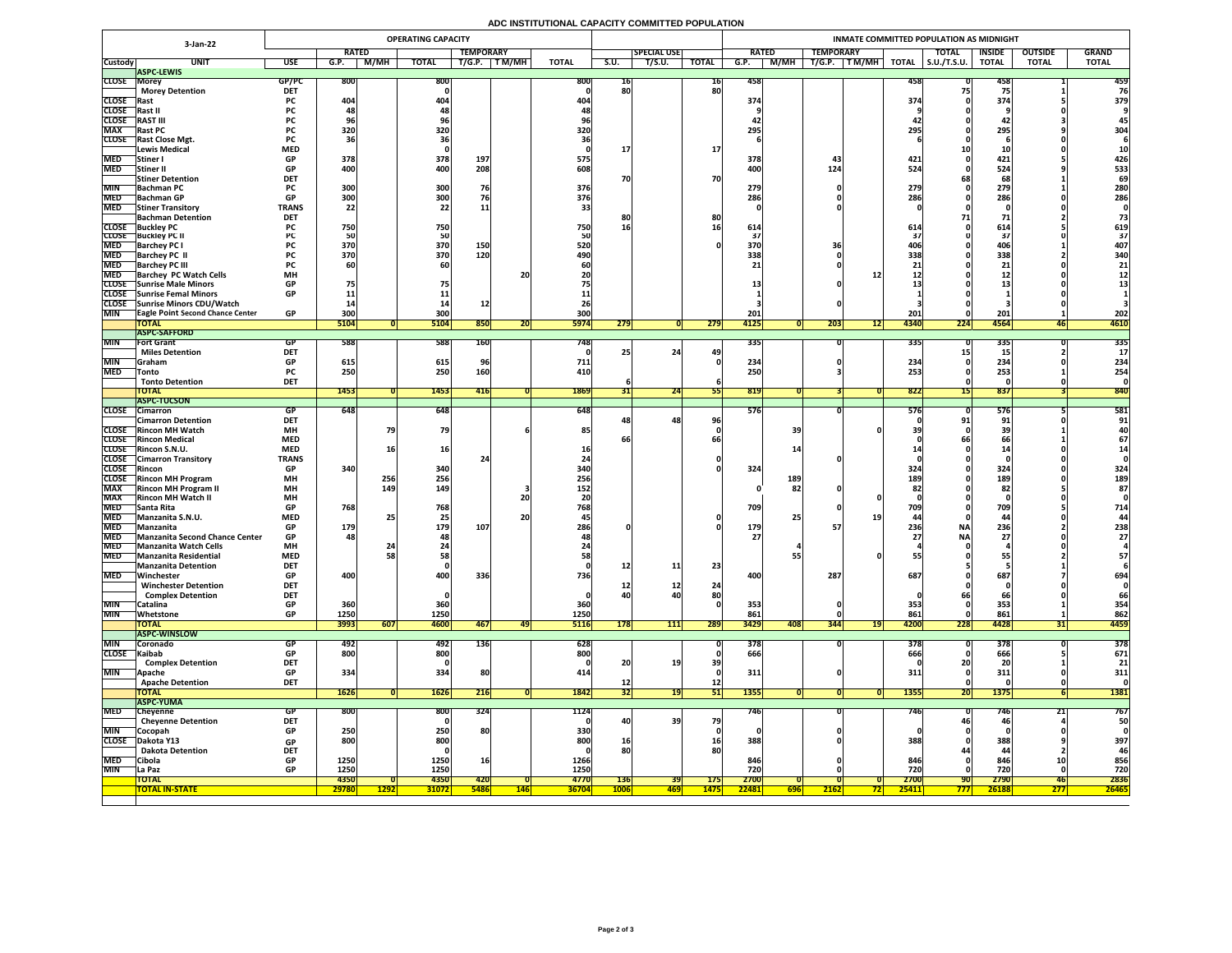## **ADC INSTITUTIONAL CAPACITY COMMITTED POPULATION**

|                            | <b>OPERATING CAPACITY</b><br>3-Jan-22                          |                          |              |               |                            |                  |            |              |                 |                    |              | INMATE COMMITTED POPULATION AS MIDNIGHT |                  |             |              |                     |                  |                |              |  |  |  |
|----------------------------|----------------------------------------------------------------|--------------------------|--------------|---------------|----------------------------|------------------|------------|--------------|-----------------|--------------------|--------------|-----------------------------------------|------------------|-------------|--------------|---------------------|------------------|----------------|--------------|--|--|--|
|                            |                                                                |                          | <b>RATED</b> |               |                            | <b>TEMPORARY</b> |            |              |                 | <b>SPECIAL USE</b> |              | <b>RATED</b>                            | <b>TEMPORARY</b> |             |              | <b>TOTAL</b>        | <b>INSIDE</b>    | <b>OUTSIDE</b> | <b>GRAND</b> |  |  |  |
| <b>Custody</b>             | <b>UNIT</b>                                                    | <b>USE</b>               | G.P.         | M/MH          | <b>TOTAL</b>               | T/G.P.           | T M/MH     | <b>TOTAL</b> | S.U.            | T/S.U.             | <b>TOTAL</b> | M/MH<br>G.P.                            | T/G.P.           | TM/MH       | <b>TOTAL</b> | $\vert$ S.U./T.S.U. | <b>TOTAL</b>     | <b>TOTAL</b>   | <b>TOTAL</b> |  |  |  |
| <b>CLOSE Morey</b>         | <b>ASPC-LEWIS</b>                                              | GP/PC                    | <b>800</b>   |               | 800                        |                  |            | <b>800</b>   | TP              |                    | 16           | 458                                     |                  |             | 458          |                     | 458              |                | 459          |  |  |  |
|                            | <b>Morey Detention</b>                                         | <b>DET</b>               |              |               |                            |                  |            |              | 80              |                    | 80           |                                         |                  |             |              |                     |                  |                | 76           |  |  |  |
| <b>CLOSE</b> Rast          |                                                                | <b>PC</b>                | 404          |               | 404                        |                  |            | <b>404</b>   |                 |                    |              | 374                                     |                  |             | 374          |                     | 374              |                | 379          |  |  |  |
| CLOSE Rast II              |                                                                | <b>PC</b>                |              |               |                            |                  |            |              |                 |                    |              |                                         |                  |             |              |                     |                  |                |              |  |  |  |
| <b>CLOSE</b><br><b>MAX</b> | <b>RAST III</b>                                                | <b>PC</b><br><b>PC</b>   | 320          |               |                            |                  |            |              |                 |                    |              | 295                                     |                  |             | 295          |                     | <b>44</b><br>295 |                | 304          |  |  |  |
|                            | <b>Rast PC</b><br><b>CLOSE</b> Rast Close Mgt.                 | <b>PC</b>                |              |               | 320                        |                  |            | 320          |                 |                    |              |                                         |                  |             |              |                     |                  |                |              |  |  |  |
|                            | Lewis Medical                                                  | <b>MED</b>               |              |               |                            |                  |            |              |                 |                    | <b>17</b>    |                                         |                  |             |              |                     |                  |                |              |  |  |  |
| <b>MED</b>                 | Stiner I                                                       | <b>GP</b>                | 378          |               | 378                        | 197              |            | 575          |                 |                    |              | 378                                     |                  |             | 421          |                     | 421              |                | 426          |  |  |  |
| <b>MED</b>                 | Stiner II                                                      | <b>GP</b>                | 400          |               | 400                        | 208              |            | 608          |                 |                    |              | 400                                     | 124              |             | 524          |                     | 524              |                | 533          |  |  |  |
| <b>MIN</b>                 | <b>Stiner Detention</b>                                        | <b>DET</b><br><b>PC</b>  | 300          |               | 300                        | 76               |            | 376          | 70              |                    | 70           | 279                                     |                  |             | 279          |                     | 68<br>279        |                | 69<br>280    |  |  |  |
|                            | <b>Bachman PC</b><br>MED Bachman GP                            | GD.<br>VГ                | ാവി<br>JUU   |               | <b>3UUL</b><br><b>POOL</b> |                  |            | 376          |                 |                    |              | 286                                     |                  |             | 286<br>LOU   |                     | 286<br>LOU       |                | 286          |  |  |  |
| <b>MED</b>                 | <b>Stiner Transitory</b>                                       | <b>TRANS</b>             | 22           |               | 22 <sub>1</sub>            | ᆂᆂ               |            |              |                 |                    |              | LOU                                     |                  |             |              |                     |                  |                |              |  |  |  |
|                            | <b>Bachman Detention</b>                                       | <b>DET</b>               |              |               |                            |                  |            |              | 8Ľ              |                    | 80           |                                         |                  |             |              |                     |                  |                |              |  |  |  |
|                            | <b>CLOSE</b> Buckley PC                                        |                          | 750          |               | 750                        |                  |            | 750          | 16              |                    |              | 614                                     |                  |             | 614          |                     | <b>614</b>       |                | 619          |  |  |  |
| <b>MED</b>                 | <b>CLOSE</b> Buckley PC II<br><b>Barchey PC I</b>              |                          | 370          |               | 50<br>370                  | 150              |            | 520          |                 |                    |              | 370                                     |                  |             |              |                     | <b>406</b>       |                | 37<br>407    |  |  |  |
| <b>MED</b>                 | <b>Barchey PC II</b>                                           | <b>PC</b>                | 370          |               | 370                        | 120              |            | 490          |                 |                    |              | 338                                     |                  |             | 338          |                     | 338              |                | 340          |  |  |  |
| <b>MED</b>                 | <b>Barchey PC III</b>                                          |                          |              |               |                            |                  |            |              |                 |                    |              |                                         |                  |             |              |                     |                  |                | 21           |  |  |  |
| <b>MED</b>                 | <b>Barchey PC Watch Cells</b>                                  | <b>MH</b>                |              |               |                            |                  | 20         |              |                 |                    |              |                                         |                  |             |              |                     | & &              |                |              |  |  |  |
|                            | CLOSE Sunrise Male Minors<br><b>CLOSE</b> Sunrise Femal Minors | <b>GP</b><br><b>GP</b>   | 75           |               |                            |                  |            |              |                 |                    |              |                                         |                  |             |              |                     |                  |                |              |  |  |  |
|                            | CLOSE Sunrise Minors CDU/Watch                                 |                          |              |               |                            |                  |            |              |                 |                    |              |                                         |                  |             |              |                     |                  |                |              |  |  |  |
| <b>MIN</b>                 | <b>TEagle Point Second Chance Center</b>                       | <b>GP</b>                | 300          |               | 300                        |                  |            | 300          |                 |                    |              | 201                                     |                  |             | 201          |                     | 201              |                | 202          |  |  |  |
|                            | <b>TOTAL</b>                                                   |                          | 5104         |               | 5104                       | 850              | ZUI        | <b>5974</b>  | 279             |                    | 279          | 4125                                    | 203              | <b>4217</b> | 4340         | 224                 | 4564             | 46             | 4610         |  |  |  |
|                            | <b>ASPC-SAFFORD</b>                                            |                          |              |               |                            |                  |            |              |                 |                    |              |                                         |                  |             |              |                     |                  |                |              |  |  |  |
| <b>MIN</b>                 | <b>Fort Grant</b><br><b>Miles Detention</b>                    | <b>GP</b><br><b>DET</b>  | 588          |               | 588                        | <b>160</b>       |            | 748          |                 | 24                 | 49           | 335                                     |                  |             | <b>3351</b>  |                     | 335              |                | 335          |  |  |  |
| <b>MIN</b>                 | <b>Graham</b>                                                  | <b>GP</b>                | 615          |               | 615                        |                  |            | 711          |                 |                    |              | 234                                     |                  |             | 234          |                     | 234              |                | 234          |  |  |  |
| <b>MED</b>                 | <b>Tonto</b>                                                   | <b>PC</b>                | 250          |               | 250                        | <b>160</b>       |            | 410          |                 |                    |              | 250                                     |                  |             | 253          |                     | 253              |                | 254          |  |  |  |
|                            | <b>Tonto Detention</b>                                         | <b>DET</b>               |              |               |                            |                  |            |              |                 |                    |              |                                         |                  |             |              |                     |                  |                |              |  |  |  |
|                            | <b>TOTAL</b><br><b>ASPC-TUCSON</b>                             |                          | 1453         |               | 1453                       | <b>416</b>       |            | 1869         | <b>JTI</b>      | 24                 |              | 819                                     |                  |             | 8221         |                     | 837              |                | 840          |  |  |  |
| <b>CLOSE</b>               | <b>Cimarron</b>                                                | GP                       | 648          |               | 648                        |                  |            | 648          |                 |                    |              | 576                                     |                  |             | <b>576</b>   |                     | 576              |                | 581          |  |  |  |
|                            | <b>Cimarron Detention</b>                                      | <b>DET</b>               |              |               |                            |                  |            |              |                 | 48                 | 96           |                                         |                  |             |              |                     | 91               |                | 91           |  |  |  |
|                            | <b>CLOSE</b> Rincon MH Watch                                   | <b>MH</b>                |              |               | 79                         |                  |            | 85           |                 |                    |              | 39                                      |                  |             |              |                     |                  |                |              |  |  |  |
|                            | <b>CLOSE</b> Rincon Medical<br>CLOSE Rincon S.N.U.             | <b>MED</b><br><b>MED</b> |              |               | 16                         |                  |            |              | bt              |                    |              |                                         |                  |             |              |                     |                  |                | 67           |  |  |  |
|                            | <b>CLOSE</b> Cimarron Transitory                               | <b>TRANS</b>             |              |               |                            |                  |            |              |                 |                    |              |                                         |                  |             |              |                     |                  |                |              |  |  |  |
| CLOSE Rincon               |                                                                | <b>GP</b>                | 340          |               | 340                        |                  |            | 340          |                 |                    |              | 324                                     |                  |             | 324          |                     | 324              |                | 324          |  |  |  |
|                            | CLOSE Rincon MH Program                                        | <b>MH</b>                |              | 256           | 256                        |                  |            | 256          |                 |                    |              | 189                                     |                  |             | 189          |                     | 189              |                | 189          |  |  |  |
| <b>MAX</b><br><b>MAX</b>   | <b>Rincon MH Program II</b><br><b>Rincon MH Watch II</b>       | <b>MH</b><br><b>MH</b>   |              | 149           | 149                        |                  | 20         | 152          |                 |                    |              |                                         | 82               |             |              |                     | 82               |                | 87           |  |  |  |
| <b>MED</b>                 | <b>Santa Rita</b>                                              | <b>GP</b>                | 768          |               | 768                        |                  |            | 768          |                 |                    |              | 709                                     |                  |             | 700<br>ノUフ   |                     | 709              |                | 714          |  |  |  |
| <b>MED</b>                 | Manzanita S.N.U.                                               | <b>MED</b>               |              |               |                            |                  | <b>20</b>  |              |                 |                    |              | 25                                      |                  |             |              |                     | 44               |                |              |  |  |  |
| <b>MED</b>                 | Manzanita                                                      | <b>GP</b>                | 179          |               | 179                        | 107              |            | 286          |                 |                    |              | 179                                     |                  |             | 236          | <b>NA</b>           | 236              |                | 238          |  |  |  |
|                            | MED Manzanita Second Chance Center                             | GP                       | 481          |               | 481                        |                  |            |              |                 |                    |              | <b>27</b>                               |                  |             | <b>271</b>   | <b>NA</b>           | $\boldsymbol{Z}$ |                | 21           |  |  |  |
| <b>MED</b><br><b>MED</b>   | Manzanita Watch Cells<br><b>Manzanita Residential</b>          | <b>MH</b><br><b>MED</b>  |              |               | 58.                        |                  |            |              |                 |                    |              |                                         |                  |             |              |                     |                  |                | 57           |  |  |  |
|                            | Manzanita Detention                                            | <b>DET</b>               |              |               |                            |                  |            |              | <u>12</u>       | 11                 | 23           |                                         |                  |             |              |                     |                  |                |              |  |  |  |
| <b>MED</b>                 | Winchester                                                     | <b>GP</b>                | 400          |               | 400                        | 336              |            | 736          |                 |                    |              | 400                                     | 287              |             | 687          |                     | 687              |                | 694          |  |  |  |
|                            | <b>Winchester Detention</b>                                    | <b>DET</b>               |              |               |                            |                  |            |              | TC              | ┷                  | 24           |                                         |                  |             |              |                     |                  |                |              |  |  |  |
| <b>MIN</b>                 | <b>Complex Detention</b><br> Catalina                          | <b>DET</b><br><b>GP</b>  | 360          |               | 360                        |                  |            | 360          | 40              |                    | 80           | 353                                     |                  |             | 353          |                     | 353              |                | 66<br>354    |  |  |  |
| <b>MIN</b>                 | Whetstone                                                      | <b>GP</b>                | 1250         |               | 1250                       |                  |            | 1250         |                 |                    |              | 861                                     |                  |             | 861          |                     | 861              |                | 862          |  |  |  |
|                            | <b>TOTAL</b>                                                   |                          | 3993         | 607           | 4600                       | 467              | 49         | <b>5116</b>  | 178             | 111                | 289          | 3429<br>408                             | 344              | 19          | 4200         | 228                 | 4428             |                | 4459         |  |  |  |
|                            | <b>ASPC-WINSLOW</b>                                            |                          |              |               |                            |                  |            |              |                 |                    |              |                                         |                  |             |              |                     |                  |                |              |  |  |  |
| <b>MIN</b><br>CLOSE Kaibab | <b>Coronado</b>                                                | GP.<br>GP                | 492<br>800   |               | 492<br>800                 | 136              |            | 628<br>800   |                 |                    |              | 378<br>666                              |                  |             | 378<br>666   |                     | 378<br>666       |                | 378<br>671   |  |  |  |
|                            | <b>Complex Detention</b>                                       | <b>DET</b>               |              |               |                            |                  |            |              | 20 <sub>l</sub> | 19 <sub>1</sub>    | 39           |                                         |                  |             |              |                     |                  |                | 21           |  |  |  |
| <b>MIN</b>                 | <b>Apache</b>                                                  | <b>GP</b>                | 334          |               | 334                        | 80               |            |              |                 |                    |              | 311                                     |                  |             | 311          |                     | 311              |                | 311          |  |  |  |
|                            | <b>Apache Detention</b>                                        | <b>DET</b>               |              |               |                            |                  |            |              | <u>12</u>       |                    | $12$         |                                         |                  |             |              |                     |                  |                |              |  |  |  |
|                            | <b>TOTAL</b>                                                   |                          | <b>1626</b>  |               | <b>1626</b>                | 216              |            | 1842         | 32              | 191                | 51           | <b>1355</b>                             |                  |             | <b>1355</b>  | <b>20</b>           | <b>1375</b>      |                | 1381         |  |  |  |
| <b>MED</b>                 | <b>ASPC-YUMA</b><br><b>Cheyenne</b>                            | <b>GP</b>                | <b>800</b>   |               | 800                        | 324              |            | 1124         |                 |                    |              | 746                                     |                  |             | <b>746</b>   |                     |                  |                | 767          |  |  |  |
|                            | <b>Cheyenne Detention</b>                                      | <b>DET</b>               |              |               |                            |                  |            |              | $-401$          | 39                 | 79           |                                         |                  |             |              |                     | 46               |                | 50           |  |  |  |
| <b>MIN</b>                 | <b>Cocopah</b>                                                 | <b>GP</b>                | 250          |               | 250                        | <b>80</b>        |            | 330          |                 |                    |              |                                         |                  |             |              |                     |                  |                |              |  |  |  |
|                            | CLOSE Dakota Y13                                               | <b>GP</b>                | 800          |               | 800                        |                  |            | 800          | 16 <sub>1</sub> |                    | <b>16</b>    | 388                                     |                  |             | 388          |                     | 388              |                | 397          |  |  |  |
| <b>MED</b>                 | <b>Dakota Detention</b><br><b>Cibola</b>                       | <b>DET</b><br><b>GP</b>  | 1250         |               | 1250                       |                  |            | 1266         | 80              |                    | 80           | 846                                     |                  |             | 846          |                     | 846              |                | 46<br>856    |  |  |  |
| <b>MIN</b>                 | <b>La Paz</b>                                                  | <b>GP</b>                | 1250         |               | 1250                       |                  |            | 1250         |                 |                    |              | 720                                     |                  |             | 720          |                     | 720              |                | 720          |  |  |  |
|                            | <b>TOTAL</b>                                                   |                          | 4350         |               | <b>4350</b>                | 420              |            | 4770         | <b>136</b>      | <b>39</b>          | <b>175</b>   | 2700                                    |                  |             | 2700         | <b>90</b>           | 2790             | 46             | 2836         |  |  |  |
|                            | <b>TOTAL IN-STATE</b>                                          |                          | 29780        | <u> 1292 </u> | <b>31072</b>               | <b>5486</b>      | <b>146</b> | <b>36704</b> | <b>1006</b>     | <mark> 469</mark>  | <b>1475</b>  | 22481<br><b>696</b>                     | 2162             | <u>72 </u>  | 25411        | <b>777</b>          | 26188            | <u> 277 </u>   | 26465        |  |  |  |